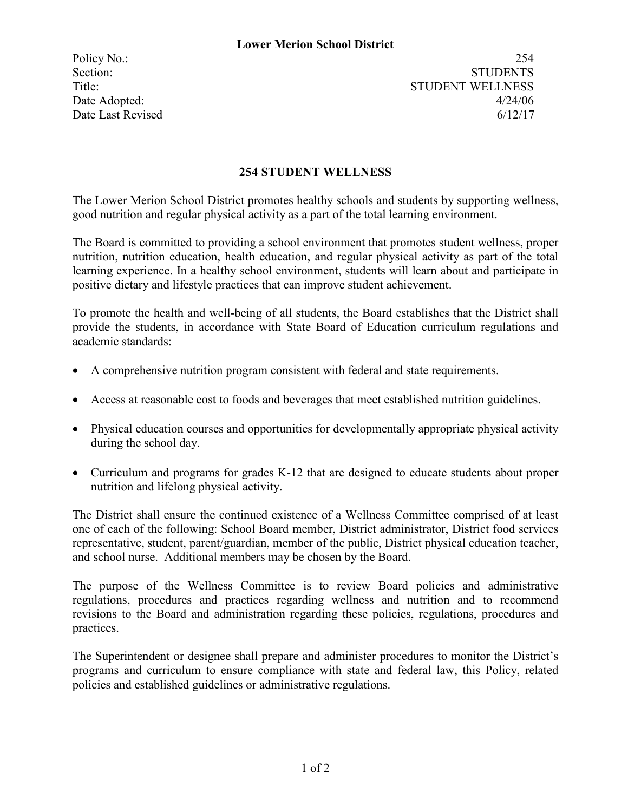Policy No.: 254 Section: STUDENTS Title: STUDENT WELLNESS Date Adopted:  $4/24/06$ Date Last Revised 6/12/17

## **254 STUDENT WELLNESS**

The Lower Merion School District promotes healthy schools and students by supporting wellness, good nutrition and regular physical activity as a part of the total learning environment.

The Board is committed to providing a school environment that promotes student wellness, proper nutrition, nutrition education, health education, and regular physical activity as part of the total learning experience. In a healthy school environment, students will learn about and participate in positive dietary and lifestyle practices that can improve student achievement.

To promote the health and well-being of all students, the Board establishes that the District shall provide the students, in accordance with State Board of Education curriculum regulations and academic standards:

- A comprehensive nutrition program consistent with federal and state requirements.
- Access at reasonable cost to foods and beverages that meet established nutrition guidelines.
- Physical education courses and opportunities for developmentally appropriate physical activity during the school day.
- Curriculum and programs for grades K-12 that are designed to educate students about proper nutrition and lifelong physical activity.

The District shall ensure the continued existence of a Wellness Committee comprised of at least one of each of the following: School Board member, District administrator, District food services representative, student, parent/guardian, member of the public, District physical education teacher, and school nurse. Additional members may be chosen by the Board.

The purpose of the Wellness Committee is to review Board policies and administrative regulations, procedures and practices regarding wellness and nutrition and to recommend revisions to the Board and administration regarding these policies, regulations, procedures and practices.

The Superintendent or designee shall prepare and administer procedures to monitor the District's programs and curriculum to ensure compliance with state and federal law, this Policy, related policies and established guidelines or administrative regulations.